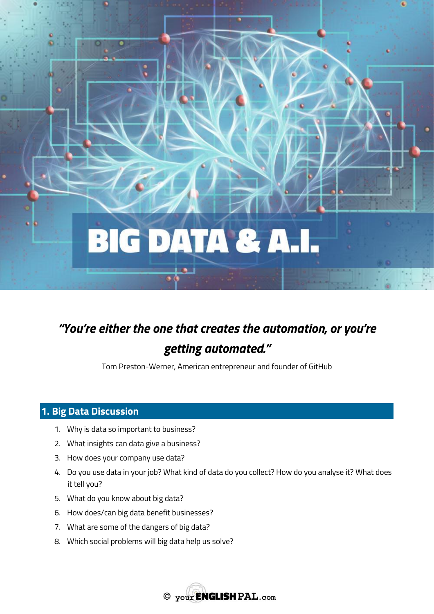

# *"You're either the one that creates the automation, or you're getting automated."*

Tom Preston-Werner, American entrepreneur and founder of GitHub

# **1. Big Data Discussion**

- 1. Why is data so important to business?
- 2. What insights can data give a business?
- 3. How does your company use data?
- 4. Do you use data in your job? What kind of data do you collect? How do you analyse it? What does it tell you?
- 5. What do you know about big data?
- 6. How does/can big data benefit businesses?
- 7. What are some of the dangers of big data?
- 8. Which social problems will big data help us solve?

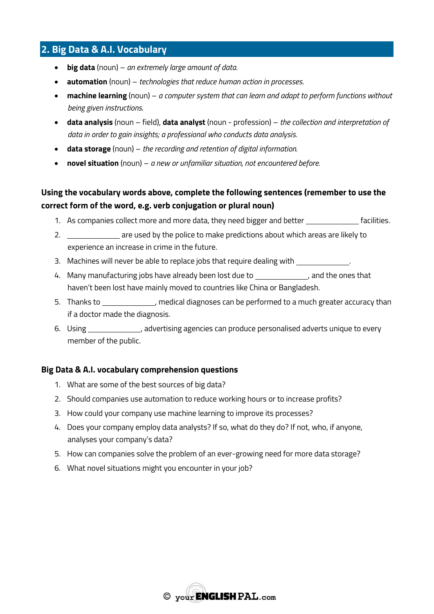# **2. Big Data & A.I. Vocabulary**

- **big data** (noun) *an extremely large amount of data.*
- **automation** (noun) *technologies that reduce human action in processes.*
- **machine learning** (noun) *a computer system that can learn and adapt to perform functions without being given instructions.*
- **data analysis** (noun field), **data analyst** (noun profession) *the collection and interpretation of data in order to gain insights; a professional who conducts data analysis.*
- **data storage** (noun) *the recording and retention of digital information.*
- **novel situation** (noun) *a new or unfamiliar situation, not encountered before.*

## **Using the vocabulary words above, complete the following sentences (remember to use the correct form of the word, e.g. verb conjugation or plural noun)**

- 1. As companies collect more and more data, they need bigger and better **facilities**.
- 2. are used by the police to make predictions about which areas are likely to experience an increase in crime in the future.
- 3. Machines will never be able to replace jobs that require dealing with \_\_
- 4. Many manufacturing jobs have already been lost due to , and the ones that haven't been lost have mainly moved to countries like China or Bangladesh.
- 5. Thanks to **the contract of the performed** to a much greater accuracy than if a doctor made the diagnosis.
- 6. Using \_\_\_\_\_\_\_\_\_\_\_\_\_, advertising agencies can produce personalised adverts unique to every member of the public.

#### **Big Data & A.I. vocabulary comprehension questions**

- 1. What are some of the best sources of big data?
- 2. Should companies use automation to reduce working hours or to increase profits?
- 3. How could your company use machine learning to improve its processes?
- 4. Does your company employ data analysts? If so, what do they do? If not, who, if anyone, analyses your company's data?
- 5. How can companies solve the problem of an ever-growing need for more data storage?
- 6. What novel situations might you encounter in your job?